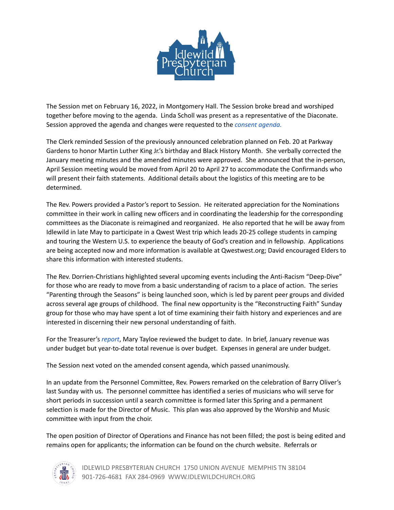

The Session met on February 16, 2022, in Montgomery Hall. The Session broke bread and worshiped together before moving to the agenda. Linda Scholl was present as a representative of the Diaconate. Session approved the agenda and changes were requested to the *consent [agenda.](https://acrobat.adobe.com/link/review?uri=urn:aaid:scds:US:c280d561-2865-36b2-aca4-f1d6706a96e6)*

The Clerk reminded Session of the previously announced celebration planned on Feb. 20 at Parkway Gardens to honor Martin Luther King Jr.'s birthday and Black History Month. She verbally corrected the January meeting minutes and the amended minutes were approved. She announced that the in-person, April Session meeting would be moved from April 20 to April 27 to accommodate the Confirmands who will present their faith statements. Additional details about the logistics of this meeting are to be determined.

The Rev. Powers provided a Pastor's report to Session. He reiterated appreciation for the Nominations committee in their work in calling new officers and in coordinating the leadership for the corresponding committees as the Diaconate is reimagined and reorganized. He also reported that he will be away from Idlewild in late May to participate in a Qwest West trip which leads 20-25 college students in camping and touring the Western U.S. to experience the beauty of God's creation and in fellowship. Applications are being accepted now and more information is available at Qwestwest.org; David encouraged Elders to share this information with interested students.

The Rev. Dorrien-Christians highlighted several upcoming events including the Anti-Racism "Deep-Dive" for those who are ready to move from a basic understanding of racism to a place of action. The series "Parenting through the Seasons" is being launched soon, which is led by parent peer groups and divided across several age groups of childhood. The final new opportunity is the "Reconstructing Faith" Sunday group for those who may have spent a lot of time examining their faith history and experiences and are interested in discerning their new personal understanding of faith.

For the Treasurer's *[report](https://acrobat.adobe.com/link/review?uri=urn:aaid:scds:US:7cc2949c-70a9-37b6-bb65-47454368b1ec)*, Mary Tayloe reviewed the budget to date. In brief, January revenue was under budget but year-to-date total revenue is over budget. Expenses in general are under budget.

The Session next voted on the amended consent agenda, which passed unanimously.

In an update from the Personnel Committee, Rev. Powers remarked on the celebration of Barry Oliver's last Sunday with us. The personnel committee has identified a series of musicians who will serve for short periods in succession until a search committee is formed later this Spring and a permanent selection is made for the Director of Music. This plan was also approved by the Worship and Music committee with input from the choir.

The open position of Director of Operations and Finance has not been filled; the post is being edited and remains open for applicants; the information can be found on the church website. Referrals or